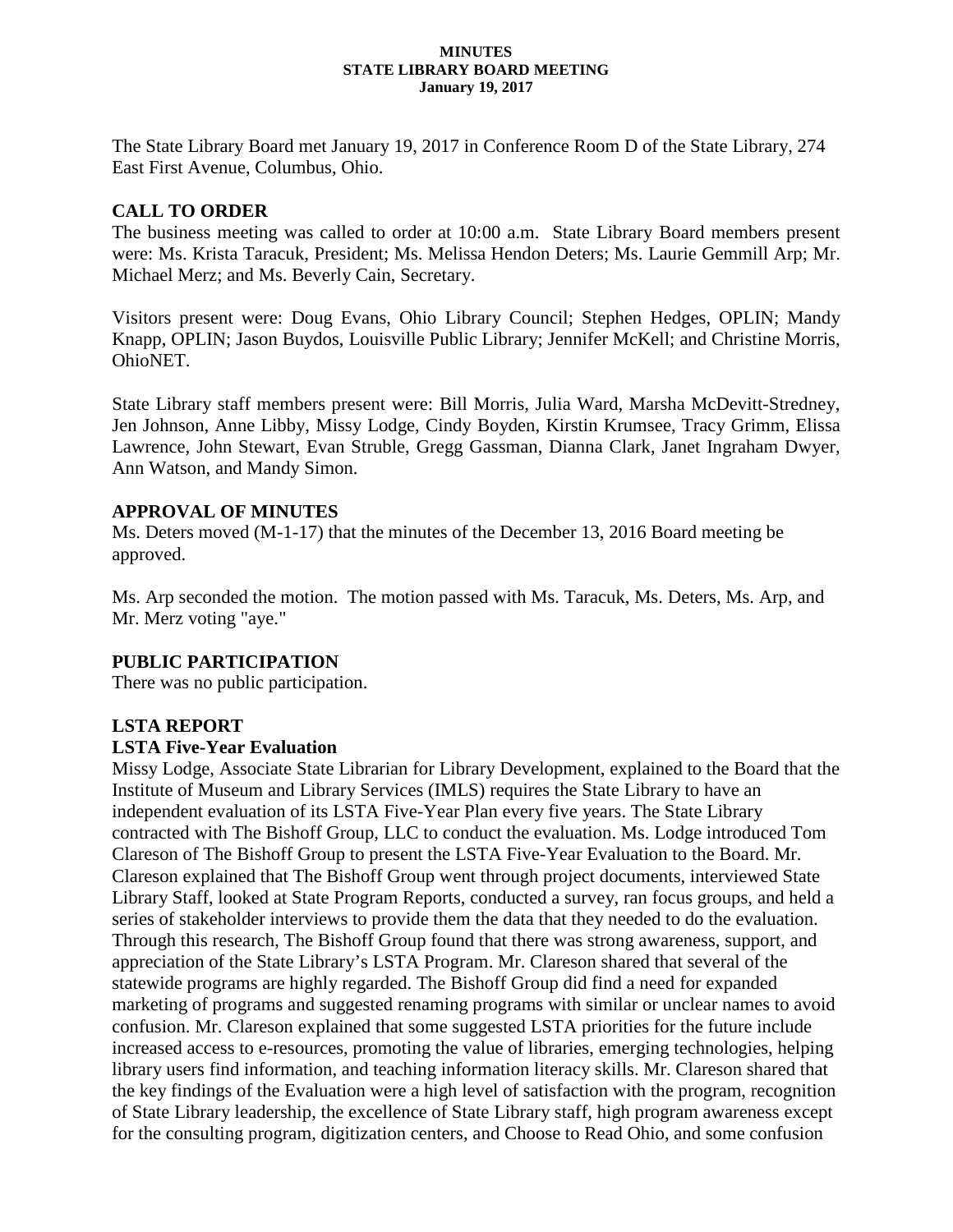#### **MINUTES STATE LIBRARY BOARD MEETING January 19, 2017**

The State Library Board met January 19, 2017 in Conference Room D of the State Library, 274 East First Avenue, Columbus, Ohio.

# **CALL TO ORDER**

The business meeting was called to order at 10:00 a.m. State Library Board members present were: Ms. Krista Taracuk, President; Ms. Melissa Hendon Deters; Ms. Laurie Gemmill Arp; Mr. Michael Merz; and Ms. Beverly Cain, Secretary.

Visitors present were: Doug Evans, Ohio Library Council; Stephen Hedges, OPLIN; Mandy Knapp, OPLIN; Jason Buydos, Louisville Public Library; Jennifer McKell; and Christine Morris, OhioNET.

State Library staff members present were: Bill Morris, Julia Ward, Marsha McDevitt-Stredney, Jen Johnson, Anne Libby, Missy Lodge, Cindy Boyden, Kirstin Krumsee, Tracy Grimm, Elissa Lawrence, John Stewart, Evan Struble, Gregg Gassman, Dianna Clark, Janet Ingraham Dwyer, Ann Watson, and Mandy Simon.

### **APPROVAL OF MINUTES**

Ms. Deters moved (M-1-17) that the minutes of the December 13, 2016 Board meeting be approved.

Ms. Arp seconded the motion. The motion passed with Ms. Taracuk, Ms. Deters, Ms. Arp, and Mr. Merz voting "aye."

# **PUBLIC PARTICIPATION**

There was no public participation.

### **LSTA REPORT**

### **LSTA Five-Year Evaluation**

Missy Lodge, Associate State Librarian for Library Development, explained to the Board that the Institute of Museum and Library Services (IMLS) requires the State Library to have an independent evaluation of its LSTA Five-Year Plan every five years. The State Library contracted with The Bishoff Group, LLC to conduct the evaluation. Ms. Lodge introduced Tom Clareson of The Bishoff Group to present the LSTA Five-Year Evaluation to the Board. Mr. Clareson explained that The Bishoff Group went through project documents, interviewed State Library Staff, looked at State Program Reports, conducted a survey, ran focus groups, and held a series of stakeholder interviews to provide them the data that they needed to do the evaluation. Through this research, The Bishoff Group found that there was strong awareness, support, and appreciation of the State Library's LSTA Program. Mr. Clareson shared that several of the statewide programs are highly regarded. The Bishoff Group did find a need for expanded marketing of programs and suggested renaming programs with similar or unclear names to avoid confusion. Mr. Clareson explained that some suggested LSTA priorities for the future include increased access to e-resources, promoting the value of libraries, emerging technologies, helping library users find information, and teaching information literacy skills. Mr. Clareson shared that the key findings of the Evaluation were a high level of satisfaction with the program, recognition of State Library leadership, the excellence of State Library staff, high program awareness except for the consulting program, digitization centers, and Choose to Read Ohio, and some confusion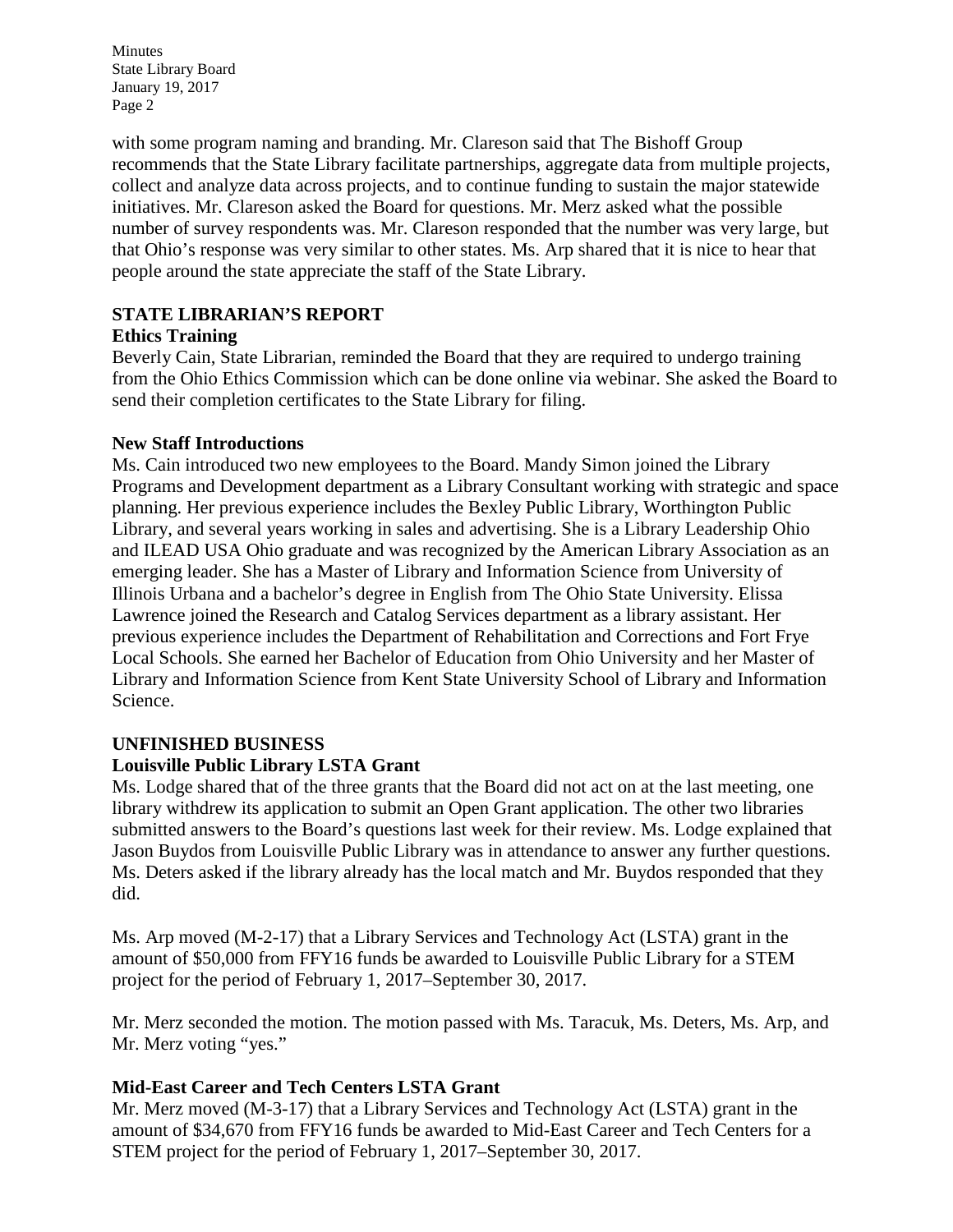Minutes State Library Board January 19, 2017 Page 2

with some program naming and branding. Mr. Clareson said that The Bishoff Group recommends that the State Library facilitate partnerships, aggregate data from multiple projects, collect and analyze data across projects, and to continue funding to sustain the major statewide initiatives. Mr. Clareson asked the Board for questions. Mr. Merz asked what the possible number of survey respondents was. Mr. Clareson responded that the number was very large, but that Ohio's response was very similar to other states. Ms. Arp shared that it is nice to hear that people around the state appreciate the staff of the State Library.

# **STATE LIBRARIAN'S REPORT**

# **Ethics Training**

Beverly Cain, State Librarian, reminded the Board that they are required to undergo training from the Ohio Ethics Commission which can be done online via webinar. She asked the Board to send their completion certificates to the State Library for filing.

# **New Staff Introductions**

Ms. Cain introduced two new employees to the Board. Mandy Simon joined the Library Programs and Development department as a Library Consultant working with strategic and space planning. Her previous experience includes the Bexley Public Library, Worthington Public Library, and several years working in sales and advertising. She is a Library Leadership Ohio and ILEAD USA Ohio graduate and was recognized by the American Library Association as an emerging leader. She has a Master of Library and Information Science from University of Illinois Urbana and a bachelor's degree in English from The Ohio State University. Elissa Lawrence joined the Research and Catalog Services department as a library assistant. Her previous experience includes the Department of Rehabilitation and Corrections and Fort Frye Local Schools. She earned her Bachelor of Education from Ohio University and her Master of Library and Information Science from Kent State University School of Library and Information Science.

# **UNFINISHED BUSINESS Louisville Public Library LSTA Grant**

Ms. Lodge shared that of the three grants that the Board did not act on at the last meeting, one library withdrew its application to submit an Open Grant application. The other two libraries submitted answers to the Board's questions last week for their review. Ms. Lodge explained that Jason Buydos from Louisville Public Library was in attendance to answer any further questions. Ms. Deters asked if the library already has the local match and Mr. Buydos responded that they did.

Ms. Arp moved (M-2-17) that a Library Services and Technology Act (LSTA) grant in the amount of \$50,000 from FFY16 funds be awarded to Louisville Public Library for a STEM project for the period of February 1, 2017–September 30, 2017.

Mr. Merz seconded the motion. The motion passed with Ms. Taracuk, Ms. Deters, Ms. Arp, and Mr. Merz voting "yes."

# **Mid-East Career and Tech Centers LSTA Grant**

Mr. Merz moved (M-3-17) that a Library Services and Technology Act (LSTA) grant in the amount of \$34,670 from FFY16 funds be awarded to Mid-East Career and Tech Centers for a STEM project for the period of February 1, 2017–September 30, 2017.